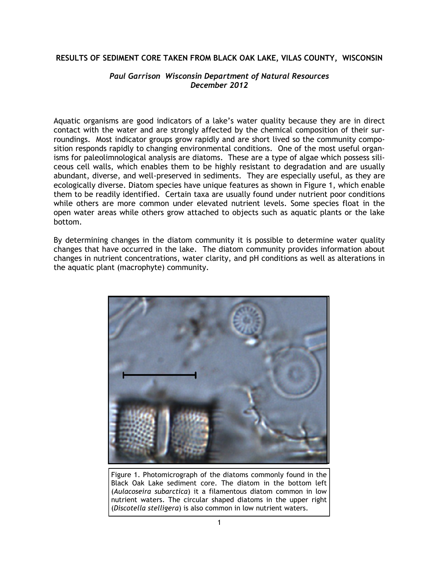#### **RESULTS OF SEDIMENT CORE TAKEN FROM BLACK OAK LAKE, VILAS COUNTY, WISCONSIN**

#### *Paul Garrison Wisconsin Department of Natural Resources December 2012*

Aquatic organisms are good indicators of a lake's water quality because they are in direct contact with the water and are strongly affected by the chemical composition of their surroundings. Most indicator groups grow rapidly and are short lived so the community composition responds rapidly to changing environmental conditions. One of the most useful organisms for paleolimnological analysis are diatoms. These are a type of algae which possess siliceous cell walls, which enables them to be highly resistant to degradation and are usually abundant, diverse, and well-preserved in sediments. They are especially useful, as they are ecologically diverse. Diatom species have unique features as shown in Figure 1, which enable them to be readily identified. Certain taxa are usually found under nutrient poor conditions while others are more common under elevated nutrient levels. Some species float in the open water areas while others grow attached to objects such as aquatic plants or the lake bottom.

By determining changes in the diatom community it is possible to determine water quality changes that have occurred in the lake. The diatom community provides information about changes in nutrient concentrations, water clarity, and pH conditions as well as alterations in the aquatic plant (macrophyte) community.



Figure 1. Photomicrograph of the diatoms commonly found in the Black Oak Lake sediment core. The diatom in the bottom left (*Aulacoseira subarctica*) it a filamentous diatom common in low nutrient waters. The circular shaped diatoms in the upper right (*Discotella stelligera*) is also common in low nutrient waters.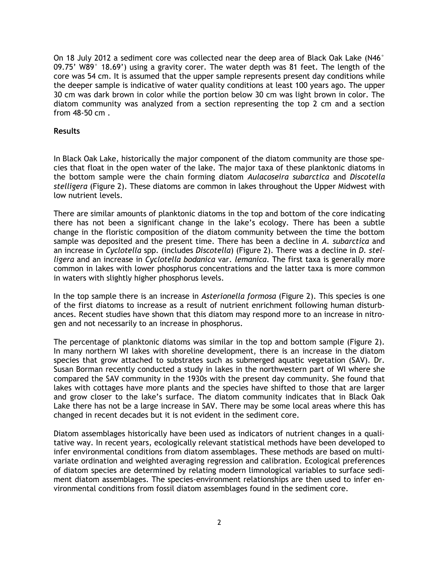On 18 July 2012 a sediment core was collected near the deep area of Black Oak Lake (N46° 09.75' W89° 18.69') using a gravity corer. The water depth was 81 feet. The length of the core was 54 cm. It is assumed that the upper sample represents present day conditions while the deeper sample is indicative of water quality conditions at least 100 years ago. The upper 30 cm was dark brown in color while the portion below 30 cm was light brown in color. The diatom community was analyzed from a section representing the top 2 cm and a section from 48-50 cm .

#### **Results**

In Black Oak Lake, historically the major component of the diatom community are those species that float in the open water of the lake. The major taxa of these planktonic diatoms in the bottom sample were the chain forming diatom *Aulacoseira subarctica* and *Discotella stelligera* (Figure 2). These diatoms are common in lakes throughout the Upper Midwest with low nutrient levels.

There are similar amounts of planktonic diatoms in the top and bottom of the core indicating there has not been a significant change in the lake's ecology. There has been a subtle change in the floristic composition of the diatom community between the time the bottom sample was deposited and the present time. There has been a decline in *A. subarctica* and an increase in *Cyclotella* spp. (includes *Discotella*) (Figure 2). There was a decline in *D. stelligera* and an increase in *Cyclotella bodanica* var. *lemanica*. The first taxa is generally more common in lakes with lower phosphorus concentrations and the latter taxa is more common in waters with slightly higher phosphorus levels.

In the top sample there is an increase in *Asterionella formosa* (Figure 2). This species is one of the first diatoms to increase as a result of nutrient enrichment following human disturbances. Recent studies have shown that this diatom may respond more to an increase in nitrogen and not necessarily to an increase in phosphorus.

The percentage of planktonic diatoms was similar in the top and bottom sample (Figure 2). In many northern WI lakes with shoreline development, there is an increase in the diatom species that grow attached to substrates such as submerged aquatic vegetation (SAV). Dr. Susan Borman recently conducted a study in lakes in the northwestern part of WI where she compared the SAV community in the 1930s with the present day community. She found that lakes with cottages have more plants and the species have shifted to those that are larger and grow closer to the lake's surface. The diatom community indicates that in Black Oak Lake there has not be a large increase in SAV. There may be some local areas where this has changed in recent decades but it is not evident in the sediment core.

Diatom assemblages historically have been used as indicators of nutrient changes in a qualitative way. In recent years, ecologically relevant statistical methods have been developed to infer environmental conditions from diatom assemblages. These methods are based on multivariate ordination and weighted averaging regression and calibration. Ecological preferences of diatom species are determined by relating modern limnological variables to surface sediment diatom assemblages. The species-environment relationships are then used to infer environmental conditions from fossil diatom assemblages found in the sediment core.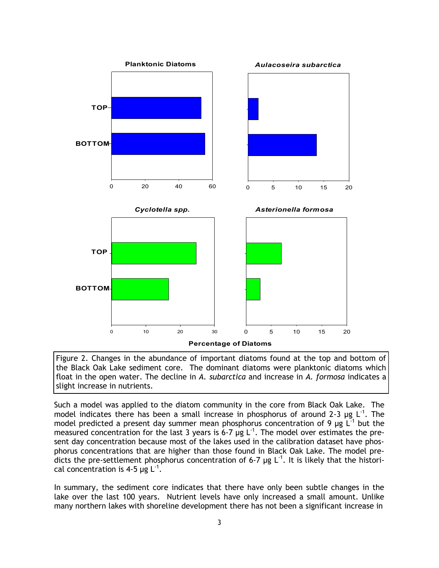

Figure 2. Changes in the abundance of important diatoms found at the top and bottom of the Black Oak Lake sediment core. The dominant diatoms were planktonic diatoms which float in the open water. The decline in *A. subarctica* and increase in *A. formosa* indicates a slight increase in nutrients.

Such a model was applied to the diatom community in the core from Black Oak Lake. The model indicates there has been a small increase in phosphorus of around 2-3  $\mu$ g L<sup>-1</sup>. The model predicted a present day summer mean phosphorus concentration of 9  $\mu$ g L<sup>-1</sup> but the measured concentration for the last 3 years is 6-7  $\mu$ g L<sup>-1</sup>. The model over estimates the present day concentration because most of the lakes used in the calibration dataset have phosphorus concentrations that are higher than those found in Black Oak Lake. The model predicts the pre-settlement phosphorus concentration of 6-7  $\mu$ g L<sup>-1</sup>. It is likely that the historical concentration is 4-5  $\mu$ g L<sup>-1</sup>.

In summary, the sediment core indicates that there have only been subtle changes in the lake over the last 100 years. Nutrient levels have only increased a small amount. Unlike many northern lakes with shoreline development there has not been a significant increase in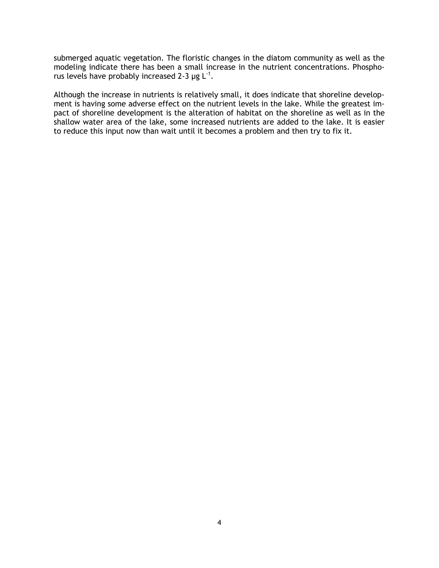submerged aquatic vegetation. The floristic changes in the diatom community as well as the modeling indicate there has been a small increase in the nutrient concentrations. Phosphorus levels have probably increased 2-3  $\mu$ g L<sup>-1</sup>.

Although the increase in nutrients is relatively small, it does indicate that shoreline development is having some adverse effect on the nutrient levels in the lake. While the greatest impact of shoreline development is the alteration of habitat on the shoreline as well as in the shallow water area of the lake, some increased nutrients are added to the lake. It is easier to reduce this input now than wait until it becomes a problem and then try to fix it.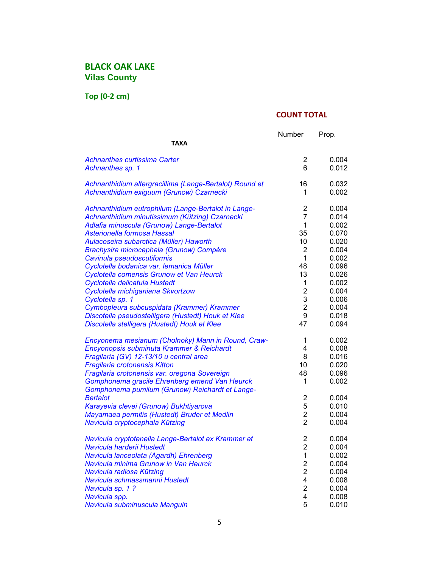**Top (0-2 cm)**

|                                                                                | Number                  | Prop. |
|--------------------------------------------------------------------------------|-------------------------|-------|
| <b>TAXA</b>                                                                    |                         |       |
| <b>Achnanthes curtissima Carter</b>                                            | 2                       | 0.004 |
| Achnanthes sp. 1                                                               | 6                       | 0.012 |
| Achnanthidium altergracillima (Lange-Bertalot) Round et                        | 16                      | 0.032 |
| Achnanthidium exiguum (Grunow) Czarnecki                                       | 1                       | 0.002 |
| Achnanthidium eutrophilum (Lange-Bertalot in Lange-                            | 2                       | 0.004 |
| Achnanthidium minutissimum (Kützing) Czarnecki                                 | $\overline{7}$          | 0.014 |
| Adlafia minuscula (Grunow) Lange-Bertalot                                      | 1                       | 0.002 |
| Asterionella formosa Hassal                                                    | 35                      | 0.070 |
| Aulacoseira subarctica (Müller) Haworth                                        | 10                      | 0.020 |
| Brachysira microcephala (Grunow) Compère                                       | 2                       | 0.004 |
| Cavinula pseudoscutiformis                                                     | 1                       | 0.002 |
| Cyclotella bodanica var. Iemanica Müller                                       | 48                      | 0.096 |
| Cyclotella comensis Grunow et Van Heurck                                       | 13                      | 0.026 |
| Cyclotella delicatula Hustedt                                                  | 1                       | 0.002 |
| Cyclotella michiganiana Skvortzow                                              | $\overline{\mathbf{c}}$ | 0.004 |
| Cyclotella sp. 1                                                               | 3                       | 0.006 |
| Cymbopleura subcuspidata (Krammer) Krammer                                     | $\overline{2}$          | 0.004 |
| Discotella pseudostelligera (Hustedt) Houk et Klee                             | 9                       | 0.018 |
| Discotella stelligera (Hustedt) Houk et Klee                                   | 47                      | 0.094 |
| Encyonema mesianum (Cholnoky) Mann in Round, Craw-                             | 1                       | 0.002 |
| Encyonopsis subminuta Krammer & Reichardt                                      | 4                       | 0.008 |
| Fragilaria (GV) 12-13/10 u central area                                        | 8                       | 0.016 |
| Fragilaria crotonensis Kitton                                                  | 10                      | 0.020 |
| Fragilaria crotonensis var. oregona Sovereign                                  | 48                      | 0.096 |
| Gomphonema gracile Ehrenberg emend Van Heurck                                  | 1                       | 0.002 |
| Gomphonema pumilum (Grunow) Reichardt et Lange-<br><b>Bertalot</b>             | $\overline{2}$          | 0.004 |
|                                                                                | 5                       | 0.010 |
| Karayevia clevei (Grunow) Bukhtiyarova                                         | $\overline{2}$          | 0.004 |
| Mayamaea permitis (Hustedt) Bruder et Medlin<br>Navicula cryptocephala Kützing | $\overline{2}$          | 0.004 |
|                                                                                |                         |       |
| Navicula cryptotenella Lange-Bertalot ex Krammer et                            | 2                       | 0.004 |
| Navicula harderii Hustedt                                                      | $\overline{2}$          | 0.004 |
| Navicula lanceolata (Agardh) Ehrenberg                                         | 1                       | 0.002 |
| Navicula minima Grunow in Van Heurck                                           | $\overline{\mathbf{c}}$ | 0.004 |
| Navicula radiosa Kützing                                                       | $\overline{c}$          | 0.004 |
| Navicula schmassmanni Hustedt                                                  | 4                       | 0.008 |
| Navicula sp. 1?                                                                | $\overline{2}$          | 0.004 |
| Navicula spp.                                                                  | 4                       | 0.008 |
| Navicula subminuscula Manguin                                                  | 5                       | 0.010 |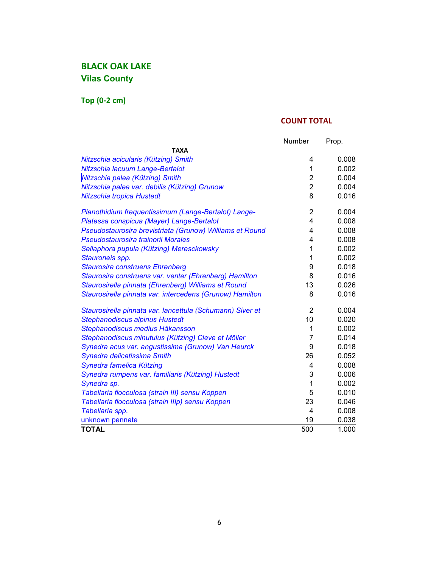**Top (0-2 cm)**

|                                                           | Number         | Prop. |
|-----------------------------------------------------------|----------------|-------|
| ΤΑΧΑ                                                      |                |       |
| Nitzschia acicularis (Kützing) Smith                      | 4              | 0.008 |
| Nitzschia lacuum Lange-Bertalot                           | 1              | 0.002 |
| Nitzschia palea (Kützing) Smith                           | $\overline{2}$ | 0.004 |
| Nitzschia palea var. debilis (Kützing) Grunow             | $\overline{2}$ | 0.004 |
| Nitzschia tropica Hustedt                                 | 8              | 0.016 |
| Planothidium frequentissimum (Lange-Bertalot) Lange-      | $\overline{2}$ | 0.004 |
| Platessa conspicua (Mayer) Lange-Bertalot                 | 4              | 0.008 |
| Pseudostaurosira brevistriata (Grunow) Williams et Round  | 4              | 0.008 |
| Pseudostaurosira trainorii Morales                        | 4              | 0.008 |
| Sellaphora pupula (Kützing) Meresckowsky                  | 1              | 0.002 |
| Stauroneis spp.                                           | 1              | 0.002 |
| <b>Staurosira construens Ehrenberg</b>                    | 9              | 0.018 |
| Staurosira construens var. venter (Ehrenberg) Hamilton    | 8              | 0.016 |
| Staurosirella pinnata (Ehrenberg) Williams et Round       | 13             | 0.026 |
| Staurosirella pinnata var. intercedens (Grunow) Hamilton  | 8              | 0.016 |
| Staurosirella pinnata var. lancettula (Schumann) Siver et | $\overline{2}$ | 0.004 |
| <b>Stephanodiscus alpinus Hustedt</b>                     | 10             | 0.020 |
| Stephanodiscus medius Håkansson                           | $\mathbf{1}$   | 0.002 |
| Stephanodiscus minutulus (Kützing) Cleve et Möller        | 7              | 0.014 |
| Synedra acus var. angustissima (Grunow) Van Heurck        | 9              | 0.018 |
| Synedra delicatissima Smith                               | 26             | 0.052 |
| Synedra famelica Kützing                                  | 4              | 0.008 |
| Synedra rumpens var. familiaris (Kützing) Hustedt         | 3              | 0.006 |
| Synedra sp.                                               | $\mathbf 1$    | 0.002 |
| Tabellaria flocculosa (strain III) sensu Koppen           | 5              | 0.010 |
| Tabellaria flocculosa (strain IIIp) sensu Koppen          | 23             | 0.046 |
| Tabellaria spp.                                           | $\overline{4}$ | 0.008 |
| unknown pennate                                           | 19             | 0.038 |
| <b>TOTAL</b>                                              | 500            | 1.000 |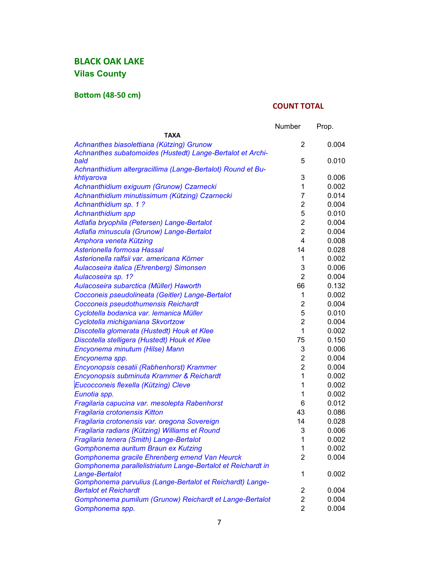## **Bottom (48-50 cm)**

|                                                                                                         | Number         | Prop. |
|---------------------------------------------------------------------------------------------------------|----------------|-------|
| <b>TAXA</b>                                                                                             |                |       |
| Achnanthes biasolettiana (Kützing) Grunow<br>Achnanthes subatomoides (Hustedt) Lange-Bertalot et Archi- | 2              | 0.004 |
| bald                                                                                                    | 5              | 0.010 |
| Achnanthidium altergracillima (Lange-Bertalot) Round et Bu-                                             |                |       |
| khtiyarova                                                                                              | 3              | 0.006 |
| Achnanthidium exiguum (Grunow) Czarnecki                                                                | 1              | 0.002 |
| Achnanthidium minutissimum (Kützing) Czarnecki                                                          | $\overline{7}$ | 0.014 |
| Achnanthidium sp. 1 ?                                                                                   | $\overline{2}$ | 0.004 |
| <b>Achnanthidium spp</b>                                                                                | 5              | 0.010 |
| Adlafia bryophila (Petersen) Lange-Bertalot                                                             | $\overline{2}$ | 0.004 |
| Adlafia minuscula (Grunow) Lange-Bertalot                                                               | $\overline{2}$ | 0.004 |
| Amphora veneta Kützing                                                                                  | 4              | 0.008 |
| Asterionella formosa Hassal                                                                             | 14             | 0.028 |
| Asterionella ralfsii var. americana Körner                                                              | 1              | 0.002 |
| Aulacoseira italica (Ehrenberg) Simonsen                                                                | 3              | 0.006 |
| Aulacoseira sp. 1?                                                                                      | $\overline{2}$ | 0.004 |
| Aulacoseira subarctica (Müller) Haworth                                                                 | 66             | 0.132 |
| Cocconeis pseudolineata (Geitler) Lange-Bertalot                                                        | 1              | 0.002 |
| Cocconeis pseudothumensis Reichardt                                                                     | $\overline{2}$ | 0.004 |
| Cyclotella bodanica var. Iemanica Müller                                                                | 5              | 0.010 |
| Cyclotella michiganiana Skvortzow                                                                       | $\overline{2}$ | 0.004 |
| Discotella glomerata (Hustedt) Houk et Klee                                                             | 1              | 0.002 |
| Discotella stelligera (Hustedt) Houk et Klee                                                            | 75             | 0.150 |
| Encyonema minutum (Hilse) Mann                                                                          | 3              | 0.006 |
| Encyonema spp.                                                                                          | $\overline{2}$ | 0.004 |
| Encyonopsis cesatii (Rabhenhorst) Krammer                                                               | $\overline{2}$ | 0.004 |
| Encyonopsis subminuta Krammer & Reichardt                                                               | 1              | 0.002 |
| Eucocconeis flexella (Kützing) Cleve                                                                    | 1              | 0.002 |
| Eunotia spp.                                                                                            | 1              | 0.002 |
| Fragilaria capucina var. mesolepta Rabenhorst                                                           | 6              | 0.012 |
| Fragilaria crotonensis Kitton                                                                           | 43             | 0.086 |
| Fragilaria crotonensis var. oregona Sovereign                                                           | 14             | 0.028 |
| Fragilaria radians (Kützing) Williams et Round                                                          | 3              | 0.006 |
| Fragilaria tenera (Smith) Lange-Bertalot                                                                | 1              | 0.002 |
| Gomphonema auritum Braun ex Kutzing                                                                     | 1              | 0.002 |
| Gomphonema gracile Ehrenberg emend Van Heurck                                                           | 2              | 0.004 |
| Gomphonema parallelistriatum Lange-Bertalot et Reichardt in                                             |                |       |
| Lange-Bertalot                                                                                          | 1              | 0.002 |
| Gomphonema parvulius (Lange-Bertalot et Reichardt) Lange-                                               |                |       |
| <b>Bertalot et Reichardt</b>                                                                            | 2              | 0.004 |
| Gomphonema pumilum (Grunow) Reichardt et Lange-Bertalot                                                 | 2              | 0.004 |
| Gomphonema spp.                                                                                         | $\overline{2}$ | 0.004 |